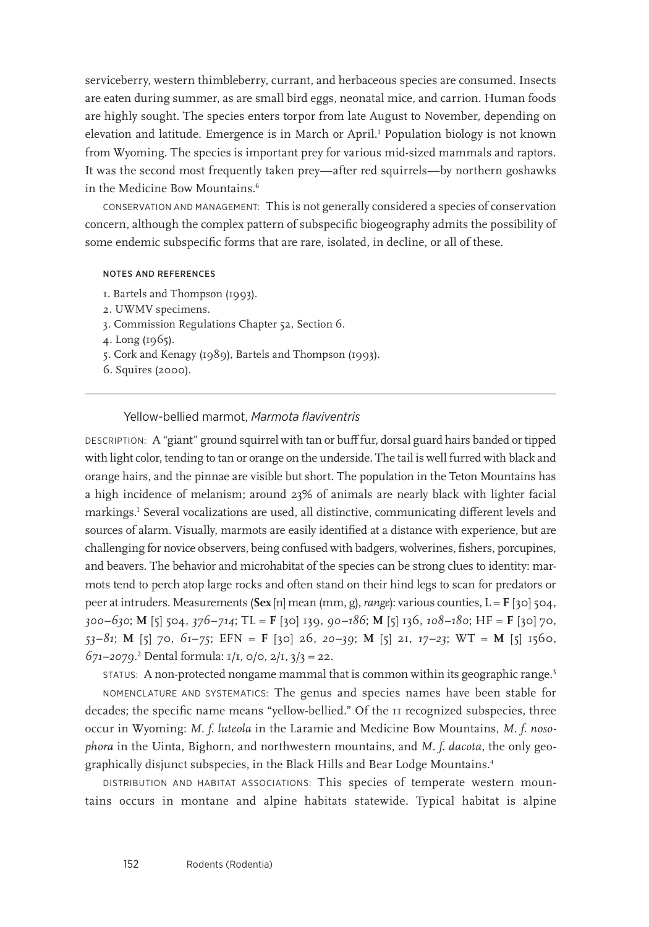serviceberry, western thimbleberry, currant, and herbaceous species are consumed. Insects are eaten during summer, as are small bird eggs, neonatal mice, and carrion. Human foods are highly sought. The species enters torpor from late August to November, depending on elevation and latitude. Emergence is in March or April.<sup>1</sup> Population biology is not known from Wyoming. The species is important prey for various mid-sized mammals and raptors. It was the second most frequently taken prey—after red squirrels—by northern goshawks in the Medicine Bow Mountains.<sup>6</sup>

CONSERVATION AND MANAGEMENT: This is not generally considered a species of conservation concern, although the complex pattern of subspecific biogeography admits the possibility of some endemic subspecific forms that are rare, isolated, in decline, or all of these.

## NOTES AND REFERENCES

- 1. Bartels and Thompson (1993).
- 2. UWMV specimens.
- 3. Commission Regulations Chapter 52, Section 6.
- 4. Long (1965).
- 5. Cork and Kenagy (1989), Bartels and Thompson (1993).
- 6. Squires (2000).

## Yellow-bellied marmot, *Marmota flaviventris*

DESCRIPTION: A "giant" ground squirrel with tan or buff fur, dorsal guard hairs banded or tipped with light color, tending to tan or orange on the underside. The tail is well furred with black and orange hairs, and the pinnae are visible but short. The population in the Teton Mountains has a high incidence of melanism; around 23% of animals are nearly black with lighter facial markings.1 Several vocalizations are used, all distinctive, communicating different levels and sources of alarm. Visually, marmots are easily identified at a distance with experience, but are challenging for novice observers, being confused with badgers, wolverines, fishers, porcupines, and beavers. The behavior and microhabitat of the species can be strong clues to identity: marmots tend to perch atop large rocks and often stand on their hind legs to scan for predators or peer at intruders. Measurements (**Sex** [n] mean (mm, g), *range*): various counties, L = **F** [30] 504, *300–630*; **M** [5] 504, *376–714*; TL = **F** [30] 139, *90–186*; **M** [5] 136, *108–180*; HF = **F** [30] 70, *53–81*; **M** [5] 70, *61–75*; EFN = **F** [30] 26, *20–39*; **M** [5] 21, *17–23*; WT = **M** [5] 1560, *671–2079*. 2 Dental formula: 1/1, 0/0, 2/1, 3/3 = 22.

STATUS: A non-protected nongame mammal that is common within its geographic range.3

NOMENCLATURE AND SYSTEMATICS: The genus and species names have been stable for decades; the specific name means "yellow-bellied." Of the 11 recognized subspecies, three occur in Wyoming: *M. f. luteola* in the Laramie and Medicine Bow Mountains, *M. f. nosophora* in the Uinta, Bighorn, and northwestern mountains, and *M. f. dacota*, the only geographically disjunct subspecies, in the Black Hills and Bear Lodge Mountains.4

DISTRIBUTION AND HABITAT ASSOCIATIONS: This species of temperate western mountains occurs in montane and alpine habitats statewide. Typical habitat is alpine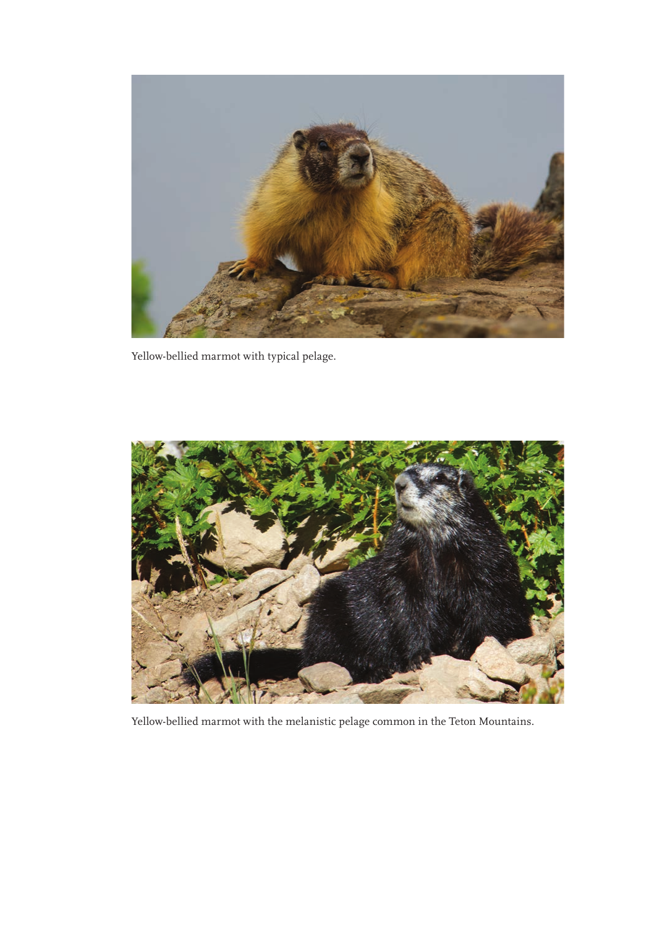

Yellow-bellied marmot with typical pelage.



Yellow-bellied marmot with the melanistic pelage common in the Teton Mountains.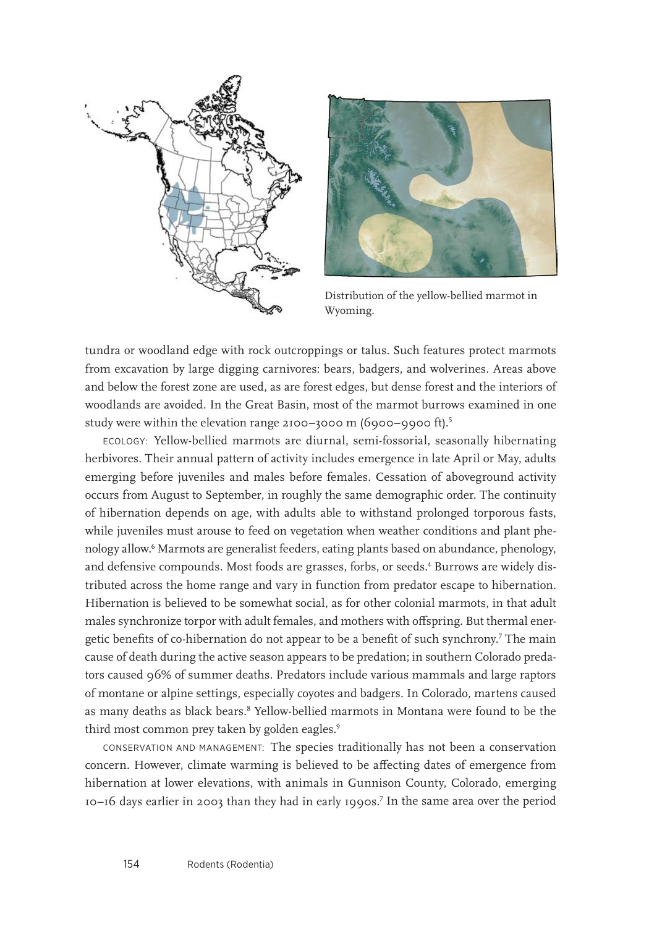



Distribution of the yellow-bellied marmot in Wyoming.

tundra or woodland edge with rock outcroppings or talus. Such features protect marmots from excavation by large digging carnivores: bears, badgers, and wolverines. Areas above and below the forest zone are used, as are forest edges, but dense forest and the interiors of woodlands are avoided. In the Great Basin, most of the marmot burrows examined in one study were within the elevation range 2100–3000 m (6900–9900 ft).5

ECOLOGY: Yellow-bellied marmots are diurnal, semi-fossorial, seasonally hibernating herbivores. Their annual pattern of activity includes emergence in late April or May, adults emerging before juveniles and males before females. Cessation of aboveground activity occurs from August to September, in roughly the same demographic order. The continuity of hibernation depends on age, with adults able to withstand prolonged torporous fasts, while juveniles must arouse to feed on vegetation when weather conditions and plant phenology allow.6 Marmots are generalist feeders, eating plants based on abundance, phenology, and defensive compounds. Most foods are grasses, forbs, or seeds.<sup>4</sup> Burrows are widely distributed across the home range and vary in function from predator escape to hibernation. Hibernation is believed to be somewhat social, as for other colonial marmots, in that adult males synchronize torpor with adult females, and mothers with offspring. But thermal energetic benefits of co-hibernation do not appear to be a benefit of such synchrony.7 The main cause of death during the active season appears to be predation; in southern Colorado predators caused 96% of summer deaths. Predators include various mammals and large raptors of montane or alpine settings, especially coyotes and badgers. In Colorado, martens caused as many deaths as black bears.<sup>8</sup> Yellow-bellied marmots in Montana were found to be the third most common prey taken by golden eagles.<sup>9</sup>

CONSERVATION AND MANAGEMENT: The species traditionally has not been a conservation concern. However, climate warming is believed to be affecting dates of emergence from hibernation at lower elevations, with animals in Gunnison County, Colorado, emerging 10–16 days earlier in 2003 than they had in early 1990s.7 In the same area over the period